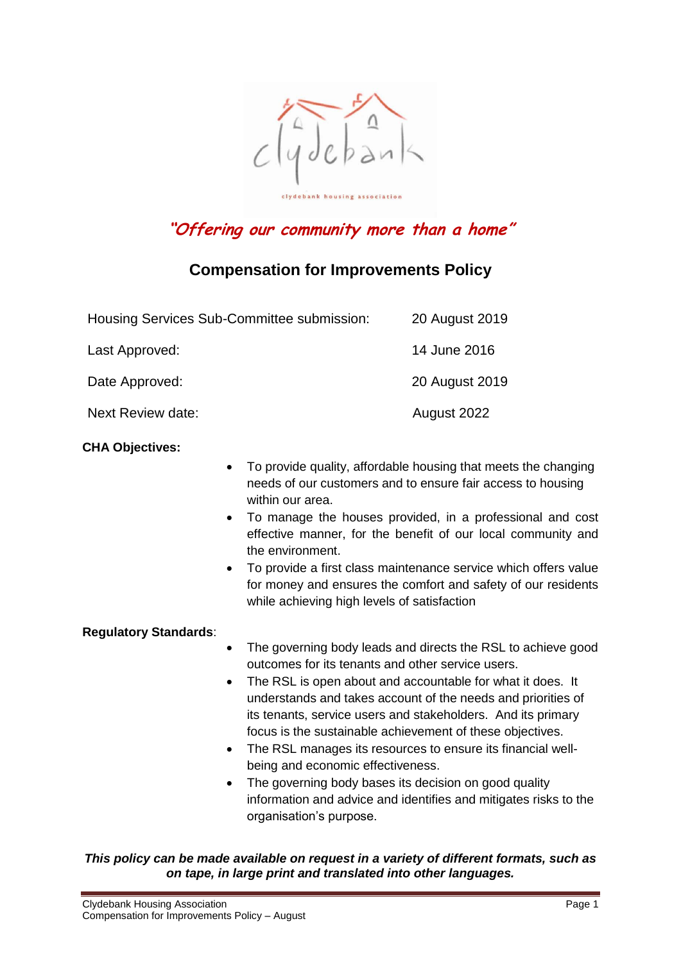

# **"Offering our community more than a home"**

# **Compensation for Improvements Policy**

| Housing Services Sub-Committee submission: | 20 August 2019 |
|--------------------------------------------|----------------|
| Last Approved:                             | 14 June 2016   |
| Date Approved:                             | 20 August 2019 |
| Next Review date:                          | August 2022    |

#### **CHA Objectives:**

- To provide quality, affordable housing that meets the changing needs of our customers and to ensure fair access to housing within our area.
- To manage the houses provided, in a professional and cost effective manner, for the benefit of our local community and the environment.
- To provide a first class maintenance service which offers value for money and ensures the comfort and safety of our residents while achieving high levels of satisfaction

#### **Regulatory Standards**:

- The governing body leads and directs the RSL to achieve good outcomes for its tenants and other service users.
- The RSL is open about and accountable for what it does. It understands and takes account of the needs and priorities of its tenants, service users and stakeholders. And its primary focus is the sustainable achievement of these objectives.
- The RSL manages its resources to ensure its financial wellbeing and economic effectiveness.
- The governing body bases its decision on good quality information and advice and identifies and mitigates risks to the organisation's purpose.

*This policy can be made available on request in a variety of different formats, such as on tape, in large print and translated into other languages.*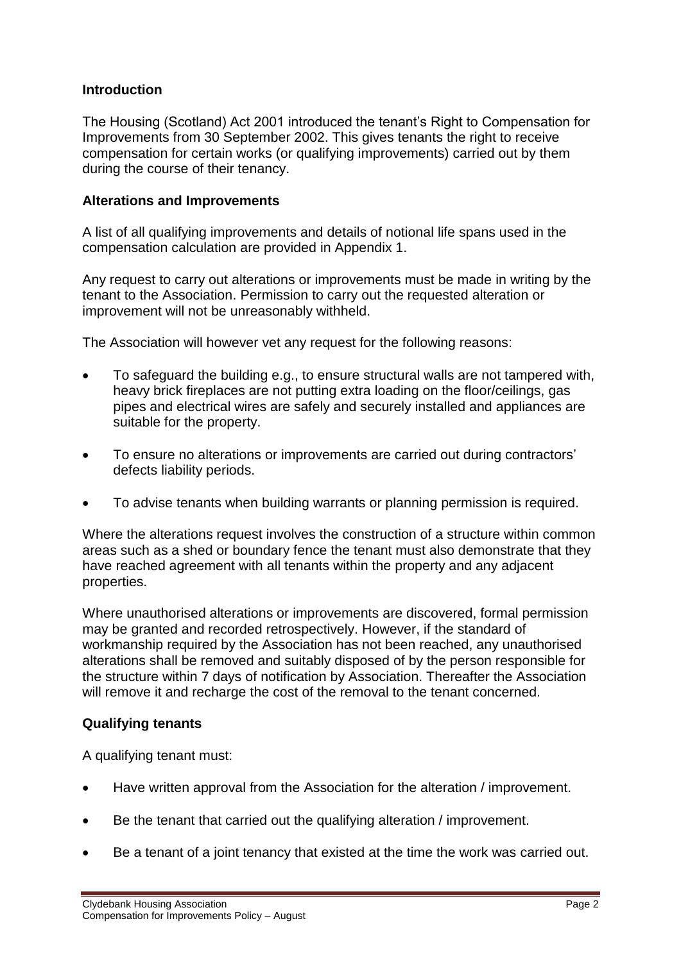#### **Introduction**

The Housing (Scotland) Act 2001 introduced the tenant's Right to Compensation for Improvements from 30 September 2002. This gives tenants the right to receive compensation for certain works (or qualifying improvements) carried out by them during the course of their tenancy.

#### **Alterations and Improvements**

A list of all qualifying improvements and details of notional life spans used in the compensation calculation are provided in Appendix 1.

Any request to carry out alterations or improvements must be made in writing by the tenant to the Association. Permission to carry out the requested alteration or improvement will not be unreasonably withheld.

The Association will however vet any request for the following reasons:

- To safeguard the building e.g., to ensure structural walls are not tampered with, heavy brick fireplaces are not putting extra loading on the floor/ceilings, gas pipes and electrical wires are safely and securely installed and appliances are suitable for the property.
- To ensure no alterations or improvements are carried out during contractors' defects liability periods.
- To advise tenants when building warrants or planning permission is required.

Where the alterations request involves the construction of a structure within common areas such as a shed or boundary fence the tenant must also demonstrate that they have reached agreement with all tenants within the property and any adjacent properties.

Where unauthorised alterations or improvements are discovered, formal permission may be granted and recorded retrospectively. However, if the standard of workmanship required by the Association has not been reached, any unauthorised alterations shall be removed and suitably disposed of by the person responsible for the structure within 7 days of notification by Association. Thereafter the Association will remove it and recharge the cost of the removal to the tenant concerned.

#### **Qualifying tenants**

A qualifying tenant must:

- Have written approval from the Association for the alteration / improvement.
- Be the tenant that carried out the qualifying alteration / improvement.
- Be a tenant of a joint tenancy that existed at the time the work was carried out.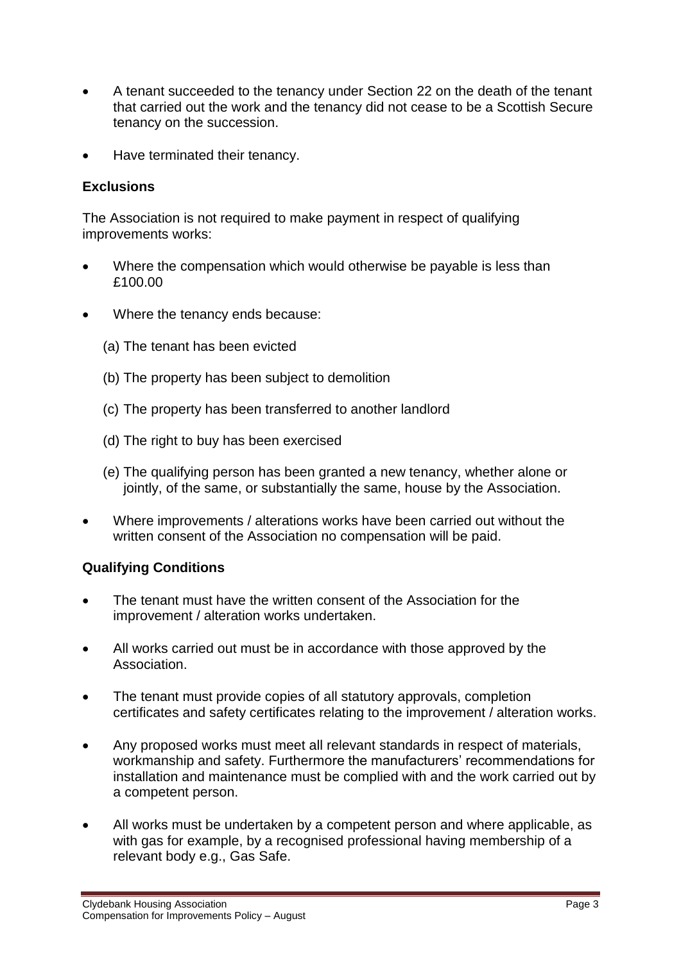- A tenant succeeded to the tenancy under Section 22 on the death of the tenant that carried out the work and the tenancy did not cease to be a Scottish Secure tenancy on the succession.
- Have terminated their tenancy.

### **Exclusions**

The Association is not required to make payment in respect of qualifying improvements works:

- Where the compensation which would otherwise be payable is less than £100.00
- Where the tenancy ends because:
	- (a) The tenant has been evicted
	- (b) The property has been subject to demolition
	- (c) The property has been transferred to another landlord
	- (d) The right to buy has been exercised
	- (e) The qualifying person has been granted a new tenancy, whether alone or jointly, of the same, or substantially the same, house by the Association.
- Where improvements / alterations works have been carried out without the written consent of the Association no compensation will be paid.

## **Qualifying Conditions**

- The tenant must have the written consent of the Association for the improvement / alteration works undertaken.
- All works carried out must be in accordance with those approved by the Association.
- The tenant must provide copies of all statutory approvals, completion certificates and safety certificates relating to the improvement / alteration works.
- Any proposed works must meet all relevant standards in respect of materials, workmanship and safety. Furthermore the manufacturers' recommendations for installation and maintenance must be complied with and the work carried out by a competent person.
- All works must be undertaken by a competent person and where applicable, as with gas for example, by a recognised professional having membership of a relevant body e.g., Gas Safe.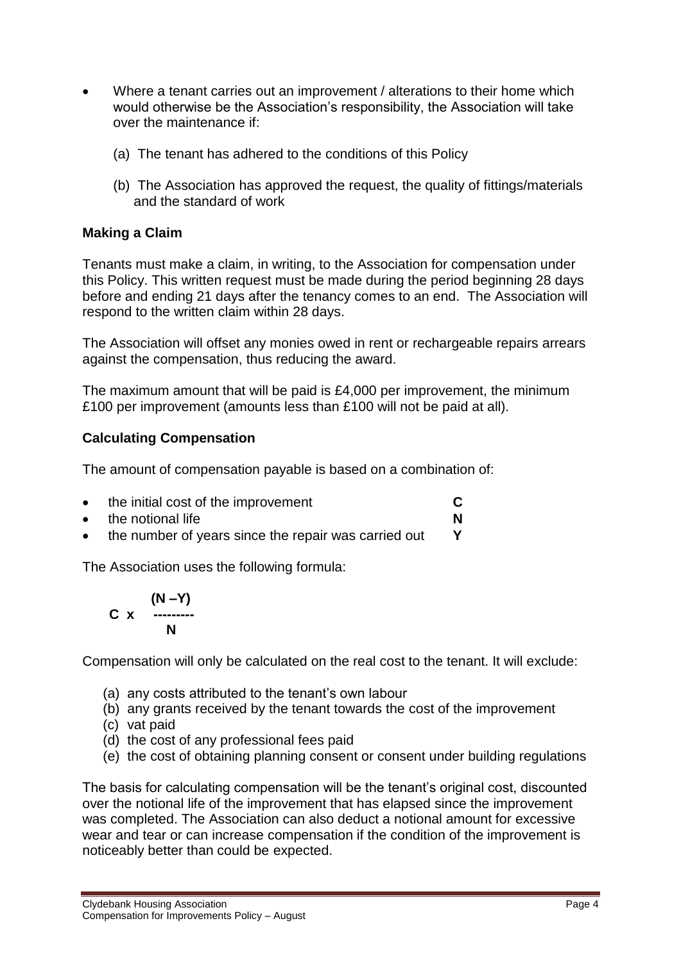- Where a tenant carries out an improvement / alterations to their home which would otherwise be the Association's responsibility, the Association will take over the maintenance if:
	- (a) The tenant has adhered to the conditions of this Policy
	- (b) The Association has approved the request, the quality of fittings/materials and the standard of work

## **Making a Claim**

Tenants must make a claim, in writing, to the Association for compensation under this Policy. This written request must be made during the period beginning 28 days before and ending 21 days after the tenancy comes to an end. The Association will respond to the written claim within 28 days.

The Association will offset any monies owed in rent or rechargeable repairs arrears against the compensation, thus reducing the award.

The maximum amount that will be paid is £4,000 per improvement, the minimum £100 per improvement (amounts less than £100 will not be paid at all).

# **Calculating Compensation**

The amount of compensation payable is based on a combination of:

- the initial cost of the improvement **C**
- the notional life **N**
- the number of years since the repair was carried out **Y**

The Association uses the following formula:

$$
C \times \begin{array}{c} (N-Y) \\ \cdots \\ N \end{array}
$$

Compensation will only be calculated on the real cost to the tenant. It will exclude:

- (a) any costs attributed to the tenant's own labour
- (b) any grants received by the tenant towards the cost of the improvement
- (c) vat paid
- (d) the cost of any professional fees paid
- (e) the cost of obtaining planning consent or consent under building regulations

The basis for calculating compensation will be the tenant's original cost, discounted over the notional life of the improvement that has elapsed since the improvement was completed. The Association can also deduct a notional amount for excessive wear and tear or can increase compensation if the condition of the improvement is noticeably better than could be expected.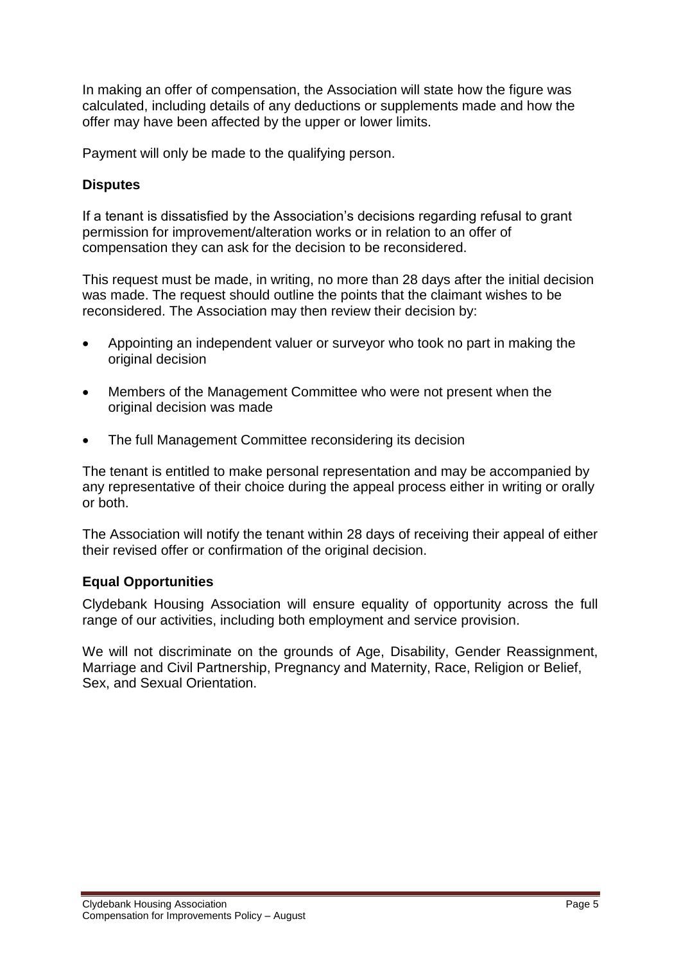In making an offer of compensation, the Association will state how the figure was calculated, including details of any deductions or supplements made and how the offer may have been affected by the upper or lower limits.

Payment will only be made to the qualifying person.

## **Disputes**

If a tenant is dissatisfied by the Association's decisions regarding refusal to grant permission for improvement/alteration works or in relation to an offer of compensation they can ask for the decision to be reconsidered.

This request must be made, in writing, no more than 28 days after the initial decision was made. The request should outline the points that the claimant wishes to be reconsidered. The Association may then review their decision by:

- Appointing an independent valuer or surveyor who took no part in making the original decision
- Members of the Management Committee who were not present when the original decision was made
- The full Management Committee reconsidering its decision

The tenant is entitled to make personal representation and may be accompanied by any representative of their choice during the appeal process either in writing or orally or both.

The Association will notify the tenant within 28 days of receiving their appeal of either their revised offer or confirmation of the original decision.

#### **Equal Opportunities**

Clydebank Housing Association will ensure equality of opportunity across the full range of our activities, including both employment and service provision.

We will not discriminate on the grounds of Age, Disability, Gender Reassignment, Marriage and Civil Partnership, Pregnancy and Maternity, Race, Religion or Belief, Sex, and Sexual Orientation.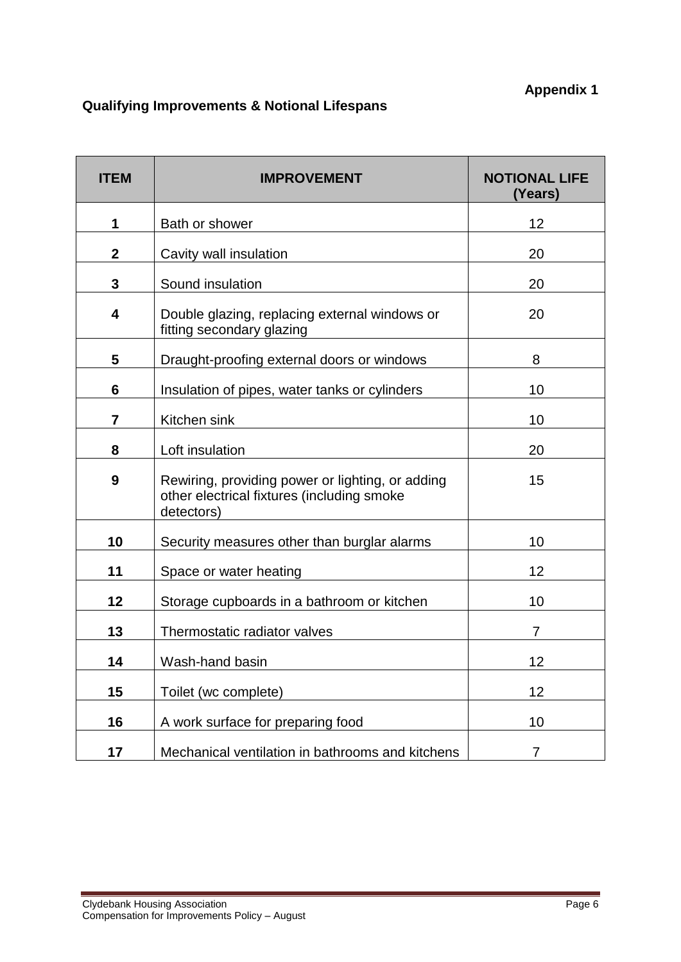# **Qualifying Improvements & Notional Lifespans**

| <b>ITEM</b>      | <b>IMPROVEMENT</b>                                                                                           | <b>NOTIONAL LIFE</b><br>(Years) |
|------------------|--------------------------------------------------------------------------------------------------------------|---------------------------------|
| 1                | Bath or shower                                                                                               | 12                              |
| $\boldsymbol{2}$ | Cavity wall insulation                                                                                       | 20                              |
| $\mathbf{3}$     | Sound insulation                                                                                             | 20                              |
| 4                | Double glazing, replacing external windows or<br>fitting secondary glazing                                   | 20                              |
| 5                | Draught-proofing external doors or windows                                                                   | 8                               |
| 6                | Insulation of pipes, water tanks or cylinders                                                                | 10                              |
| $\overline{7}$   | Kitchen sink                                                                                                 | 10                              |
| 8                | Loft insulation                                                                                              | 20                              |
| 9                | Rewiring, providing power or lighting, or adding<br>other electrical fixtures (including smoke<br>detectors) | 15                              |
| 10               | Security measures other than burglar alarms                                                                  | 10                              |
| 11               | Space or water heating                                                                                       | 12                              |
| 12               | Storage cupboards in a bathroom or kitchen                                                                   | 10                              |
| 13               | Thermostatic radiator valves                                                                                 | 7                               |
| 14               | Wash-hand basin                                                                                              | 12                              |
| 15               | Toilet (wc complete)                                                                                         | 12                              |
| 16               | A work surface for preparing food                                                                            | 10                              |
| 17               | Mechanical ventilation in bathrooms and kitchens                                                             | $\overline{7}$                  |